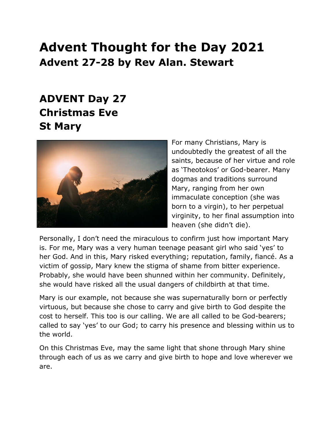## **Advent Thought for the Day 2021 Advent 27-28 by Rev Alan. Stewart**

## **ADVENT Day 27 Christmas Eve St Mary**



For many Christians, Mary is undoubtedly the greatest of all the saints, because of her virtue and role as 'Theotokos' or God-bearer. Many dogmas and traditions surround Mary, ranging from her own immaculate conception (she was born to a virgin), to her perpetual virginity, to her final assumption into heaven (she didn't die).

Personally, I don't need the miraculous to confirm just how important Mary is. For me, Mary was a very human teenage peasant girl who said 'yes' to her God. And in this, Mary risked everything; reputation, family, fiancé. As a victim of gossip, Mary knew the stigma of shame from bitter experience. Probably, she would have been shunned within her community. Definitely, she would have risked all the usual dangers of childbirth at that time.

Mary is our example, not because she was supernaturally born or perfectly virtuous, but because she chose to carry and give birth to God despite the cost to herself. This too is our calling. We are all called to be God-bearers; called to say 'yes' to our God; to carry his presence and blessing within us to the world.

On this Christmas Eve, may the same light that shone through Mary shine through each of us as we carry and give birth to hope and love wherever we are.